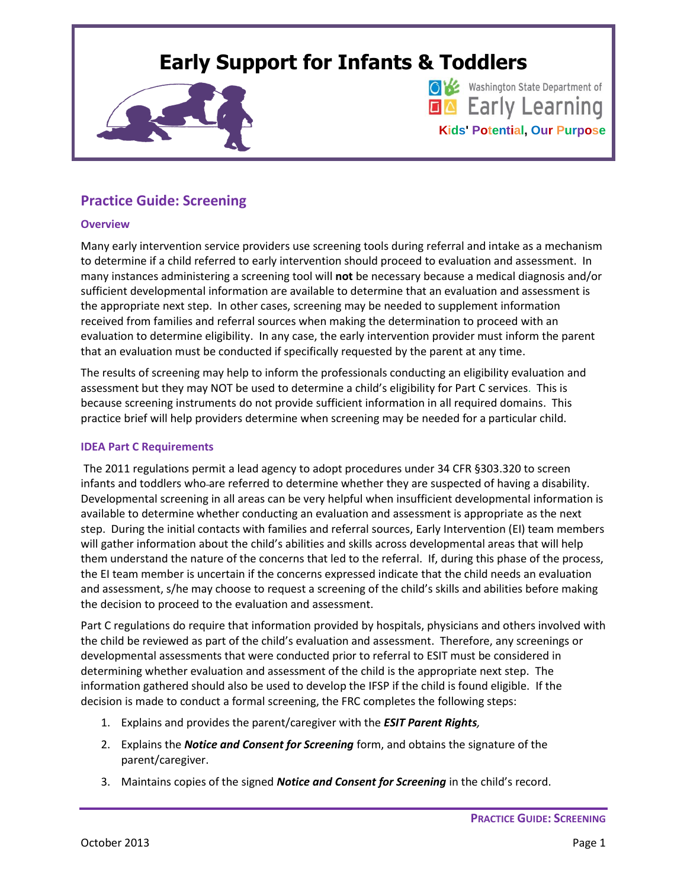# **Early Support for Infants & Toddlers**



Washington State Department of **EA** Early Learning **Kids' Potential, Our Purpose**

## **Practice Guide: Screening**

#### **Overview**

Many early intervention service providers use screening tools during referral and intake as a mechanism to determine if a child referred to early intervention should proceed to evaluation and assessment. In many instances administering a screening tool will **not** be necessary because a medical diagnosis and/or sufficient developmental information are available to determine that an evaluation and assessment is the appropriate next step. In other cases, screening may be needed to supplement information received from families and referral sources when making the determination to proceed with an evaluation to determine eligibility. In any case, the early intervention provider must inform the parent that an evaluation must be conducted if specifically requested by the parent at any time.

The results of screening may help to inform the professionals conducting an eligibility evaluation and assessment but they may NOT be used to determine a child's eligibility for Part C services. This is because screening instruments do not provide sufficient information in all required domains. This practice brief will help providers determine when screening may be needed for a particular child.

#### **IDEA Part C Requirements**

The 2011 regulations permit a lead agency to adopt procedures under 34 CFR §303.320 to screen infants and toddlers who-are referred to determine whether they are suspected of having a disability. Developmental screening in all areas can be very helpful when insufficient developmental information is available to determine whether conducting an evaluation and assessment is appropriate as the next step. During the initial contacts with families and referral sources, Early Intervention (EI) team members will gather information about the child's abilities and skills across developmental areas that will help them understand the nature of the concerns that led to the referral. If, during this phase of the process, the EI team member is uncertain if the concerns expressed indicate that the child needs an evaluation and assessment, s/he may choose to request a screening of the child's skills and abilities before making the decision to proceed to the evaluation and assessment.

Part C regulations do require that information provided by hospitals, physicians and others involved with the child be reviewed as part of the child's evaluation and assessment. Therefore, any screenings or developmental assessments that were conducted prior to referral to ESIT must be considered in determining whether evaluation and assessment of the child is the appropriate next step. The information gathered should also be used to develop the IFSP if the child is found eligible. If the decision is made to conduct a formal screening, the FRC completes the following steps:

- 1. Explains and provides the parent/caregiver with the *ESIT Parent Rights,*
- 2. Explains the *Notice and Consent for Screening* form, and obtains the signature of the parent/caregiver.
- 3. Maintains copies of the signed *Notice and Consent for Screening* in the child's record.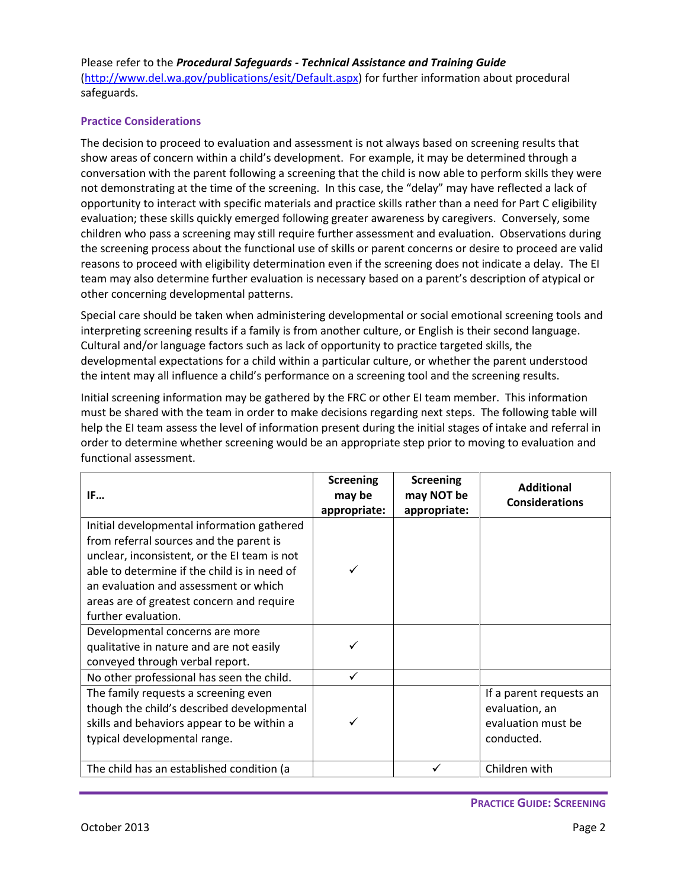Please refer to the *Procedural Safeguards - Technical Assistance and Training Guide* [\(http://www.del.wa.gov/publications/esit/Default.aspx\)](http://www.del.wa.gov/publications/esit/Default.aspx) for further information about procedural safeguards.

### **Practice Considerations**

The decision to proceed to evaluation and assessment is not always based on screening results that show areas of concern within a child's development. For example, it may be determined through a conversation with the parent following a screening that the child is now able to perform skills they were not demonstrating at the time of the screening. In this case, the "delay" may have reflected a lack of opportunity to interact with specific materials and practice skills rather than a need for Part C eligibility evaluation; these skills quickly emerged following greater awareness by caregivers. Conversely, some children who pass a screening may still require further assessment and evaluation. Observations during the screening process about the functional use of skills or parent concerns or desire to proceed are valid reasons to proceed with eligibility determination even if the screening does not indicate a delay. The EI team may also determine further evaluation is necessary based on a parent's description of atypical or other concerning developmental patterns.

Special care should be taken when administering developmental or social emotional screening tools and interpreting screening results if a family is from another culture, or English is their second language. Cultural and/or language factors such as lack of opportunity to practice targeted skills, the developmental expectations for a child within a particular culture, or whether the parent understood the intent may all influence a child's performance on a screening tool and the screening results.

Initial screening information may be gathered by the FRC or other EI team member. This information must be shared with the team in order to make decisions regarding next steps. The following table will help the EI team assess the level of information present during the initial stages of intake and referral in order to determine whether screening would be an appropriate step prior to moving to evaluation and functional assessment.

| IF                                                                                                                                                                                                                                                                                                 | <b>Screening</b><br>may be<br>appropriate: | <b>Screening</b><br>may NOT be<br>appropriate: | <b>Additional</b><br><b>Considerations</b>                                    |
|----------------------------------------------------------------------------------------------------------------------------------------------------------------------------------------------------------------------------------------------------------------------------------------------------|--------------------------------------------|------------------------------------------------|-------------------------------------------------------------------------------|
| Initial developmental information gathered<br>from referral sources and the parent is<br>unclear, inconsistent, or the EI team is not<br>able to determine if the child is in need of<br>an evaluation and assessment or which<br>areas are of greatest concern and require<br>further evaluation. |                                            |                                                |                                                                               |
| Developmental concerns are more<br>qualitative in nature and are not easily<br>conveyed through verbal report.                                                                                                                                                                                     |                                            |                                                |                                                                               |
| No other professional has seen the child.                                                                                                                                                                                                                                                          | ✓                                          |                                                |                                                                               |
| The family requests a screening even<br>though the child's described developmental<br>skills and behaviors appear to be within a<br>typical developmental range.                                                                                                                                   |                                            |                                                | If a parent requests an<br>evaluation, an<br>evaluation must be<br>conducted. |
| The child has an established condition (a                                                                                                                                                                                                                                                          |                                            |                                                | Children with                                                                 |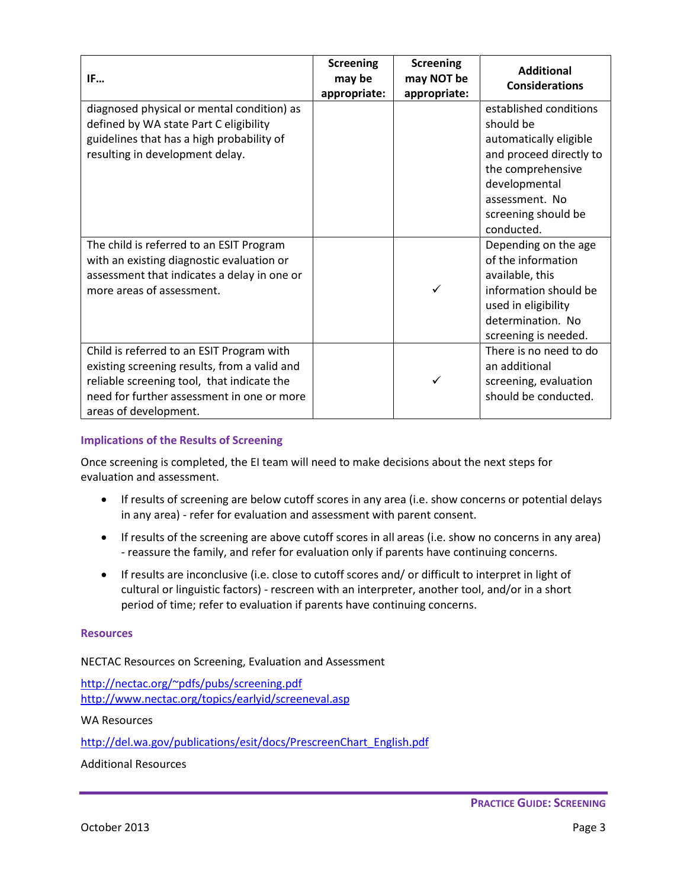| IF                                                                                                                                                                                                             | <b>Screening</b><br>may be<br>appropriate: | <b>Screening</b><br>may NOT be<br>appropriate: | <b>Additional</b><br><b>Considerations</b>                                                                                                                                            |
|----------------------------------------------------------------------------------------------------------------------------------------------------------------------------------------------------------------|--------------------------------------------|------------------------------------------------|---------------------------------------------------------------------------------------------------------------------------------------------------------------------------------------|
| diagnosed physical or mental condition) as<br>defined by WA state Part C eligibility<br>guidelines that has a high probability of<br>resulting in development delay.                                           |                                            |                                                | established conditions<br>should be<br>automatically eligible<br>and proceed directly to<br>the comprehensive<br>developmental<br>assessment. No<br>screening should be<br>conducted. |
| The child is referred to an ESIT Program<br>with an existing diagnostic evaluation or<br>assessment that indicates a delay in one or<br>more areas of assessment.                                              |                                            | ✓                                              | Depending on the age<br>of the information<br>available, this<br>information should be<br>used in eligibility<br>determination. No<br>screening is needed.                            |
| Child is referred to an ESIT Program with<br>existing screening results, from a valid and<br>reliable screening tool, that indicate the<br>need for further assessment in one or more<br>areas of development. |                                            | ✓                                              | There is no need to do<br>an additional<br>screening, evaluation<br>should be conducted.                                                                                              |

#### **Implications of the Results of Screening**

Once screening is completed, the EI team will need to make decisions about the next steps for evaluation and assessment.

- If results of screening are below cutoff scores in any area (i.e. show concerns or potential delays in any area) - refer for evaluation and assessment with parent consent.
- If results of the screening are above cutoff scores in all areas (i.e. show no concerns in any area) - reassure the family, and refer for evaluation only if parents have continuing concerns.
- If results are inconclusive (i.e. close to cutoff scores and/ or difficult to interpret in light of cultural or linguistic factors) - rescreen with an interpreter, another tool, and/or in a short period of time; refer to evaluation if parents have continuing concerns.

#### **Resources**

NECTAC Resources on Screening, Evaluation and Assessment

<http://nectac.org/~pdfs/pubs/screening.pdf> <http://www.nectac.org/topics/earlyid/screeneval.asp>

WA Resources

[http://del.wa.gov/publications/esit/docs/PrescreenChart\\_English.pdf](http://del.wa.gov/publications/esit/docs/PrescreenChart_English.pdf)

Additional Resources